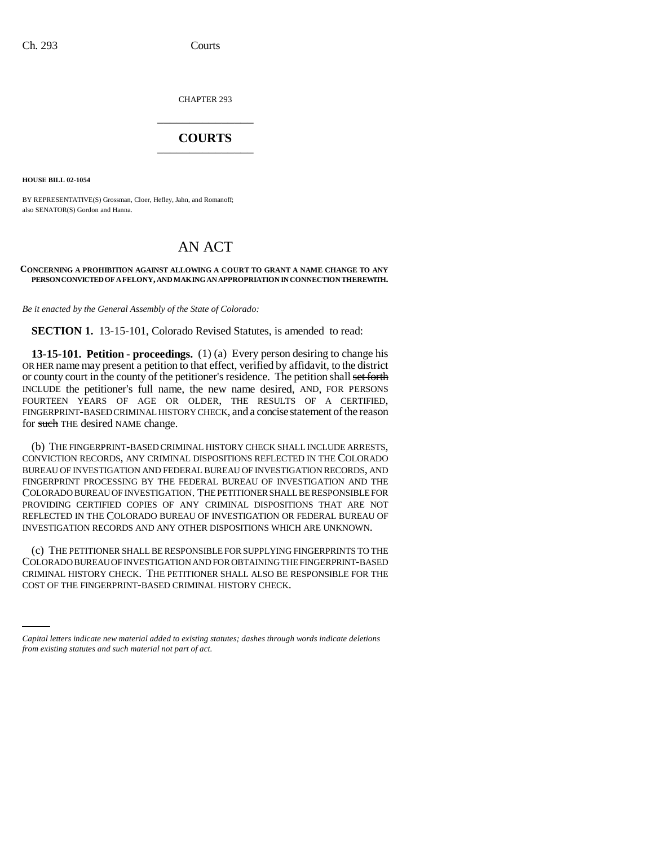CHAPTER 293 \_\_\_\_\_\_\_\_\_\_\_\_\_\_\_

## **COURTS** \_\_\_\_\_\_\_\_\_\_\_\_\_\_\_

**HOUSE BILL 02-1054**

BY REPRESENTATIVE(S) Grossman, Cloer, Hefley, Jahn, and Romanoff; also SENATOR(S) Gordon and Hanna.

## AN ACT

## **CONCERNING A PROHIBITION AGAINST ALLOWING A COURT TO GRANT A NAME CHANGE TO ANY PERSON CONVICTED OF A FELONY, AND MAKING AN APPROPRIATION IN CONNECTION THEREWITH.**

*Be it enacted by the General Assembly of the State of Colorado:*

**SECTION 1.** 13-15-101, Colorado Revised Statutes, is amended to read:

**13-15-101. Petition - proceedings.** (1) (a) Every person desiring to change his OR HER name may present a petition to that effect, verified by affidavit, to the district or county court in the county of the petitioner's residence. The petition shall set forth INCLUDE the petitioner's full name, the new name desired, AND, FOR PERSONS FOURTEEN YEARS OF AGE OR OLDER, THE RESULTS OF A CERTIFIED, FINGERPRINT-BASED CRIMINAL HISTORY CHECK, and a concise statement of the reason for such THE desired NAME change.

(b) THE FINGERPRINT-BASED CRIMINAL HISTORY CHECK SHALL INCLUDE ARRESTS, CONVICTION RECORDS, ANY CRIMINAL DISPOSITIONS REFLECTED IN THE COLORADO BUREAU OF INVESTIGATION AND FEDERAL BUREAU OF INVESTIGATION RECORDS, AND FINGERPRINT PROCESSING BY THE FEDERAL BUREAU OF INVESTIGATION AND THE COLORADO BUREAU OF INVESTIGATION. THE PETITIONER SHALL BE RESPONSIBLE FOR PROVIDING CERTIFIED COPIES OF ANY CRIMINAL DISPOSITIONS THAT ARE NOT REFLECTED IN THE COLORADO BUREAU OF INVESTIGATION OR FEDERAL BUREAU OF INVESTIGATION RECORDS AND ANY OTHER DISPOSITIONS WHICH ARE UNKNOWN.

CRIMINAL HISTORY CHECK. THE PETITIONER SHALL ALSO BE RESPONSIBLE FOR THE (c) THE PETITIONER SHALL BE RESPONSIBLE FOR SUPPLYING FINGERPRINTS TO THE COLORADO BUREAU OF INVESTIGATION AND FOR OBTAINING THE FINGERPRINT-BASED COST OF THE FINGERPRINT-BASED CRIMINAL HISTORY CHECK.

*Capital letters indicate new material added to existing statutes; dashes through words indicate deletions from existing statutes and such material not part of act.*